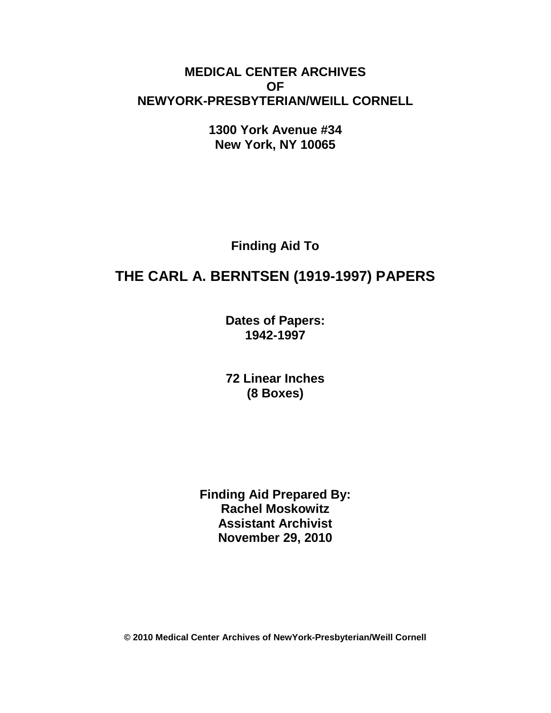# **MEDICAL CENTER ARCHIVES OF NEWYORK-PRESBYTERIAN/WEILL CORNELL**

**1300 York Avenue #34 New York, NY 10065**

**Finding Aid To**

# **THE CARL A. BERNTSEN (1919-1997) PAPERS**

**Dates of Papers: 1942-1997**

**72 Linear Inches (8 Boxes)**

**Finding Aid Prepared By: Rachel Moskowitz Assistant Archivist November 29, 2010**

**© 2010 Medical Center Archives of NewYork-Presbyterian/Weill Cornell**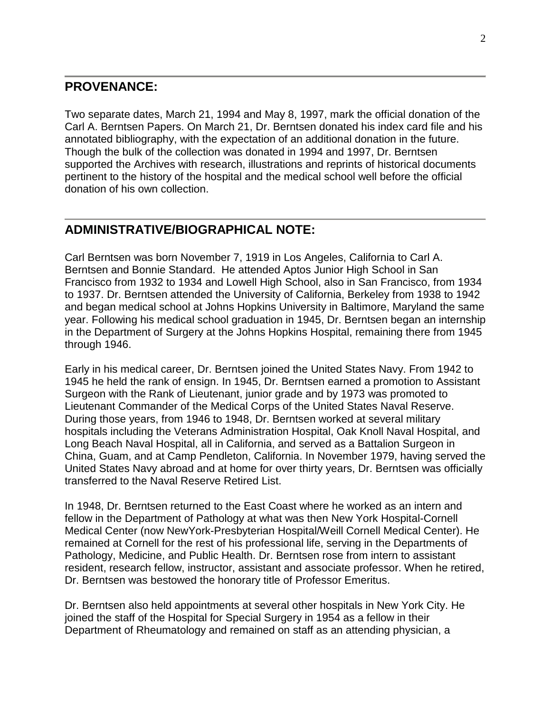### **PROVENANCE:**

Two separate dates, March 21, 1994 and May 8, 1997, mark the official donation of the Carl A. Berntsen Papers. On March 21, Dr. Berntsen donated his index card file and his annotated bibliography, with the expectation of an additional donation in the future. Though the bulk of the collection was donated in 1994 and 1997, Dr. Berntsen supported the Archives with research, illustrations and reprints of historical documents pertinent to the history of the hospital and the medical school well before the official donation of his own collection.

## **ADMINISTRATIVE/BIOGRAPHICAL NOTE:**

Carl Berntsen was born November 7, 1919 in Los Angeles, California to Carl A. Berntsen and Bonnie Standard. He attended Aptos Junior High School in San Francisco from 1932 to 1934 and Lowell High School, also in San Francisco, from 1934 to 1937. Dr. Berntsen attended the University of California, Berkeley from 1938 to 1942 and began medical school at Johns Hopkins University in Baltimore, Maryland the same year. Following his medical school graduation in 1945, Dr. Berntsen began an internship in the Department of Surgery at the Johns Hopkins Hospital, remaining there from 1945 through 1946.

Early in his medical career, Dr. Berntsen joined the United States Navy. From 1942 to 1945 he held the rank of ensign. In 1945, Dr. Berntsen earned a promotion to Assistant Surgeon with the Rank of Lieutenant, junior grade and by 1973 was promoted to Lieutenant Commander of the Medical Corps of the United States Naval Reserve. During those years, from 1946 to 1948, Dr. Berntsen worked at several military hospitals including the Veterans Administration Hospital, Oak Knoll Naval Hospital, and Long Beach Naval Hospital, all in California, and served as a Battalion Surgeon in China, Guam, and at Camp Pendleton, California. In November 1979, having served the United States Navy abroad and at home for over thirty years, Dr. Berntsen was officially transferred to the Naval Reserve Retired List.

In 1948, Dr. Berntsen returned to the East Coast where he worked as an intern and fellow in the Department of Pathology at what was then New York Hospital-Cornell Medical Center (now NewYork-Presbyterian Hospital/Weill Cornell Medical Center). He remained at Cornell for the rest of his professional life, serving in the Departments of Pathology, Medicine, and Public Health. Dr. Berntsen rose from intern to assistant resident, research fellow, instructor, assistant and associate professor. When he retired, Dr. Berntsen was bestowed the honorary title of Professor Emeritus.

Dr. Berntsen also held appointments at several other hospitals in New York City. He joined the staff of the Hospital for Special Surgery in 1954 as a fellow in their Department of Rheumatology and remained on staff as an attending physician, a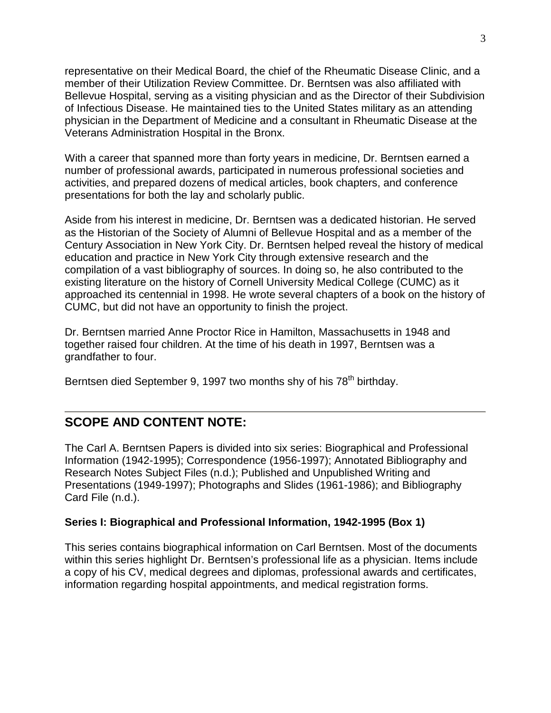representative on their Medical Board, the chief of the Rheumatic Disease Clinic, and a member of their Utilization Review Committee. Dr. Berntsen was also affiliated with Bellevue Hospital, serving as a visiting physician and as the Director of their Subdivision of Infectious Disease. He maintained ties to the United States military as an attending physician in the Department of Medicine and a consultant in Rheumatic Disease at the Veterans Administration Hospital in the Bronx.

With a career that spanned more than forty years in medicine, Dr. Berntsen earned a number of professional awards, participated in numerous professional societies and activities, and prepared dozens of medical articles, book chapters, and conference presentations for both the lay and scholarly public.

Aside from his interest in medicine, Dr. Berntsen was a dedicated historian. He served as the Historian of the Society of Alumni of Bellevue Hospital and as a member of the Century Association in New York City. Dr. Berntsen helped reveal the history of medical education and practice in New York City through extensive research and the compilation of a vast bibliography of sources. In doing so, he also contributed to the existing literature on the history of Cornell University Medical College (CUMC) as it approached its centennial in 1998. He wrote several chapters of a book on the history of CUMC, but did not have an opportunity to finish the project.

Dr. Berntsen married Anne Proctor Rice in Hamilton, Massachusetts in 1948 and together raised four children. At the time of his death in 1997, Berntsen was a grandfather to four.

Berntsen died September 9, 1997 two months shy of his 78<sup>th</sup> birthday.

## **SCOPE AND CONTENT NOTE:**

The Carl A. Berntsen Papers is divided into six series: Biographical and Professional Information (1942-1995); Correspondence (1956-1997); Annotated Bibliography and Research Notes Subject Files (n.d.); Published and Unpublished Writing and Presentations (1949-1997); Photographs and Slides (1961-1986); and Bibliography Card File (n.d.).

#### **Series I: Biographical and Professional Information, 1942-1995 (Box 1)**

This series contains biographical information on Carl Berntsen. Most of the documents within this series highlight Dr. Berntsen's professional life as a physician. Items include a copy of his CV, medical degrees and diplomas, professional awards and certificates, information regarding hospital appointments, and medical registration forms.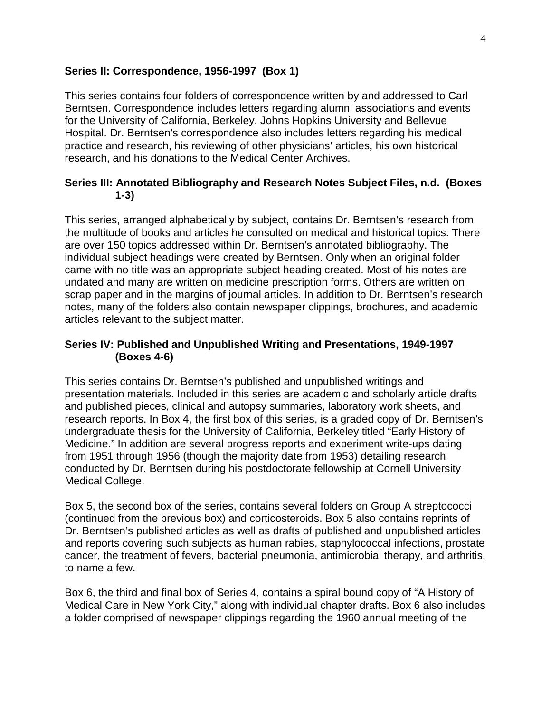#### **Series II: Correspondence, 1956-1997 (Box 1)**

This series contains four folders of correspondence written by and addressed to Carl Berntsen. Correspondence includes letters regarding alumni associations and events for the University of California, Berkeley, Johns Hopkins University and Bellevue Hospital. Dr. Berntsen's correspondence also includes letters regarding his medical practice and research, his reviewing of other physicians' articles, his own historical research, and his donations to the Medical Center Archives.

#### **Series III: Annotated Bibliography and Research Notes Subject Files, n.d. (Boxes 1-3)**

This series, arranged alphabetically by subject, contains Dr. Berntsen's research from the multitude of books and articles he consulted on medical and historical topics. There are over 150 topics addressed within Dr. Berntsen's annotated bibliography. The individual subject headings were created by Berntsen. Only when an original folder came with no title was an appropriate subject heading created. Most of his notes are undated and many are written on medicine prescription forms. Others are written on scrap paper and in the margins of journal articles. In addition to Dr. Berntsen's research notes, many of the folders also contain newspaper clippings, brochures, and academic articles relevant to the subject matter.

#### **Series IV: Published and Unpublished Writing and Presentations, 1949-1997 (Boxes 4-6)**

This series contains Dr. Berntsen's published and unpublished writings and presentation materials. Included in this series are academic and scholarly article drafts and published pieces, clinical and autopsy summaries, laboratory work sheets, and research reports. In Box 4, the first box of this series, is a graded copy of Dr. Berntsen's undergraduate thesis for the University of California, Berkeley titled "Early History of Medicine." In addition are several progress reports and experiment write-ups dating from 1951 through 1956 (though the majority date from 1953) detailing research conducted by Dr. Berntsen during his postdoctorate fellowship at Cornell University Medical College.

Box 5, the second box of the series, contains several folders on Group A streptococci (continued from the previous box) and corticosteroids. Box 5 also contains reprints of Dr. Berntsen's published articles as well as drafts of published and unpublished articles and reports covering such subjects as human rabies, staphylococcal infections, prostate cancer, the treatment of fevers, bacterial pneumonia, antimicrobial therapy, and arthritis, to name a few.

Box 6, the third and final box of Series 4, contains a spiral bound copy of "A History of Medical Care in New York City," along with individual chapter drafts. Box 6 also includes a folder comprised of newspaper clippings regarding the 1960 annual meeting of the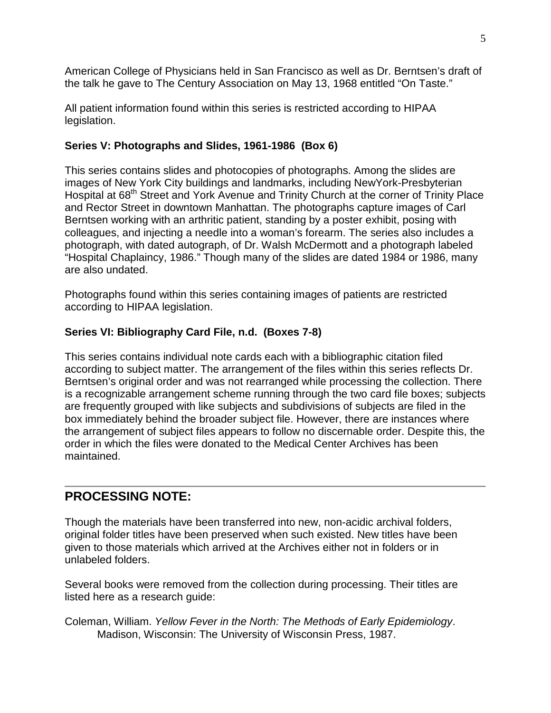American College of Physicians held in San Francisco as well as Dr. Berntsen's draft of the talk he gave to The Century Association on May 13, 1968 entitled "On Taste."

All patient information found within this series is restricted according to HIPAA legislation.

#### **Series V: Photographs and Slides, 1961-1986 (Box 6)**

This series contains slides and photocopies of photographs. Among the slides are images of New York City buildings and landmarks, including NewYork-Presbyterian Hospital at 68<sup>th</sup> Street and York Avenue and Trinity Church at the corner of Trinity Place and Rector Street in downtown Manhattan. The photographs capture images of Carl Berntsen working with an arthritic patient, standing by a poster exhibit, posing with colleagues, and injecting a needle into a woman's forearm. The series also includes a photograph, with dated autograph, of Dr. Walsh McDermott and a photograph labeled "Hospital Chaplaincy, 1986." Though many of the slides are dated 1984 or 1986, many are also undated.

Photographs found within this series containing images of patients are restricted according to HIPAA legislation.

### **Series VI: Bibliography Card File, n.d. (Boxes 7-8)**

This series contains individual note cards each with a bibliographic citation filed according to subject matter. The arrangement of the files within this series reflects Dr. Berntsen's original order and was not rearranged while processing the collection. There is a recognizable arrangement scheme running through the two card file boxes; subjects are frequently grouped with like subjects and subdivisions of subjects are filed in the box immediately behind the broader subject file. However, there are instances where the arrangement of subject files appears to follow no discernable order. Despite this, the order in which the files were donated to the Medical Center Archives has been maintained.

# **PROCESSING NOTE:**

Though the materials have been transferred into new, non-acidic archival folders, original folder titles have been preserved when such existed. New titles have been given to those materials which arrived at the Archives either not in folders or in unlabeled folders.

Several books were removed from the collection during processing. Their titles are listed here as a research guide:

Coleman, William. *Yellow Fever in the North: The Methods of Early Epidemiology*. Madison, Wisconsin: The University of Wisconsin Press, 1987.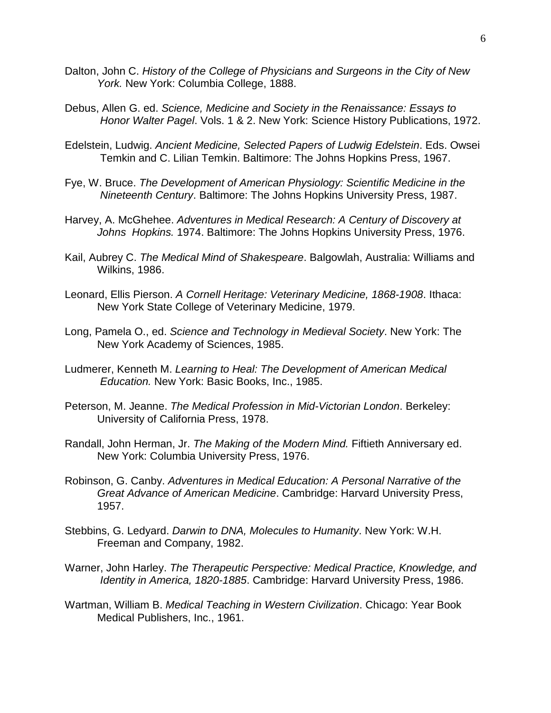- Dalton, John C. *History of the College of Physicians and Surgeons in the City of New York.* New York: Columbia College, 1888.
- Debus, Allen G. ed. *Science, Medicine and Society in the Renaissance: Essays to Honor Walter Pagel*. Vols. 1 & 2. New York: Science History Publications, 1972.
- Edelstein, Ludwig. *Ancient Medicine, Selected Papers of Ludwig Edelstein*. Eds. Owsei Temkin and C. Lilian Temkin. Baltimore: The Johns Hopkins Press, 1967.
- Fye, W. Bruce. *The Development of American Physiology: Scientific Medicine in the Nineteenth Century*. Baltimore: The Johns Hopkins University Press, 1987.
- Harvey, A. McGhehee. *Adventures in Medical Research: A Century of Discovery at Johns Hopkins.* 1974. Baltimore: The Johns Hopkins University Press, 1976.
- Kail, Aubrey C. *The Medical Mind of Shakespeare*. Balgowlah, Australia: Williams and Wilkins, 1986.
- Leonard, Ellis Pierson. *A Cornell Heritage: Veterinary Medicine, 1868-1908*. Ithaca: New York State College of Veterinary Medicine, 1979.
- Long, Pamela O., ed. *Science and Technology in Medieval Society*. New York: The New York Academy of Sciences, 1985.
- Ludmerer, Kenneth M. *Learning to Heal: The Development of American Medical Education.* New York: Basic Books, Inc., 1985.
- Peterson, M. Jeanne. *The Medical Profession in Mid-Victorian London*. Berkeley: University of California Press, 1978.
- Randall, John Herman, Jr. *The Making of the Modern Mind.* Fiftieth Anniversary ed. New York: Columbia University Press, 1976.
- Robinson, G. Canby. *Adventures in Medical Education: A Personal Narrative of the Great Advance of American Medicine*. Cambridge: Harvard University Press, 1957.
- Stebbins, G. Ledyard. *Darwin to DNA, Molecules to Humanity*. New York: W.H. Freeman and Company, 1982.
- Warner, John Harley. *The Therapeutic Perspective: Medical Practice, Knowledge, and Identity in America, 1820-1885*. Cambridge: Harvard University Press, 1986.
- Wartman, William B. *Medical Teaching in Western Civilization*. Chicago: Year Book Medical Publishers, Inc., 1961.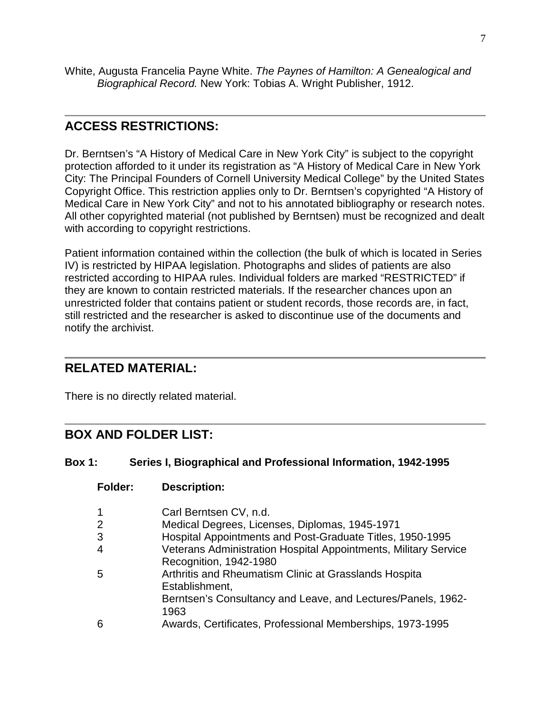White, Augusta Francelia Payne White. *The Paynes of Hamilton: A Genealogical and Biographical Record.* New York: Tobias A. Wright Publisher, 1912.

# **ACCESS RESTRICTIONS:**

Dr. Berntsen's "A History of Medical Care in New York City" is subject to the copyright protection afforded to it under its registration as "A History of Medical Care in New York City: The Principal Founders of Cornell University Medical College" by the United States Copyright Office. This restriction applies only to Dr. Berntsen's copyrighted "A History of Medical Care in New York City" and not to his annotated bibliography or research notes. All other copyrighted material (not published by Berntsen) must be recognized and dealt with according to copyright restrictions.

Patient information contained within the collection (the bulk of which is located in Series IV) is restricted by HIPAA legislation. Photographs and slides of patients are also restricted according to HIPAA rules. Individual folders are marked "RESTRICTED" if they are known to contain restricted materials. If the researcher chances upon an unrestricted folder that contains patient or student records, those records are, in fact, still restricted and the researcher is asked to discontinue use of the documents and notify the archivist.

# **RELATED MATERIAL:**

There is no directly related material.

**Folder: Description:**

# **BOX AND FOLDER LIST:**

#### **Box 1: Series I, Biographical and Professional Information, 1942-1995**

| 1              | Carl Berntsen CV, n.d.                                                                    |
|----------------|-------------------------------------------------------------------------------------------|
| $\overline{2}$ | Medical Degrees, Licenses, Diplomas, 1945-1971                                            |
| 3              | Hospital Appointments and Post-Graduate Titles, 1950-1995                                 |
| 4              | Veterans Administration Hospital Appointments, Military Service<br>Recognition, 1942-1980 |
| 5              | Arthritis and Rheumatism Clinic at Grasslands Hospita<br>Establishment,                   |
|                | Berntsen's Consultancy and Leave, and Lectures/Panels, 1962-<br>1963                      |
| 6              | Awards, Certificates, Professional Memberships, 1973-1995                                 |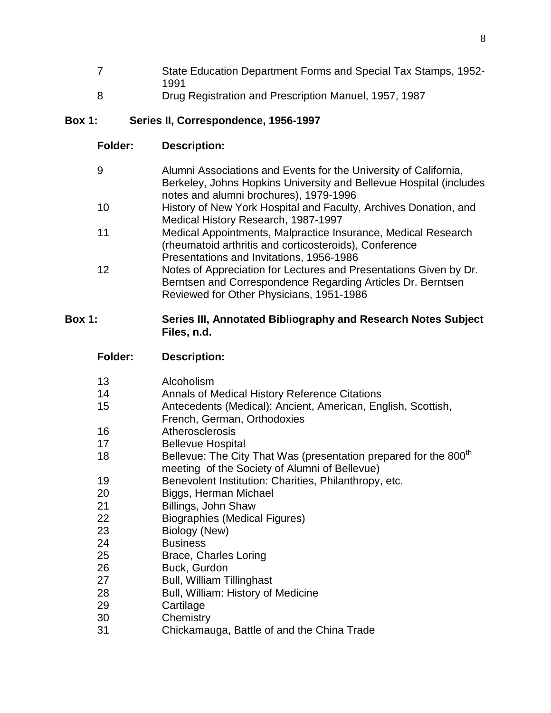- State Education Department Forms and Special Tax Stamps, 1952-
- Drug Registration and Prescription Manuel, 1957, 1987

### **Box 1: Series II, Correspondence, 1956-1997**

**Folder: Description:**

| 9  | Alumni Associations and Events for the University of California,                                             |
|----|--------------------------------------------------------------------------------------------------------------|
|    | Berkeley, Johns Hopkins University and Bellevue Hospital (includes<br>notes and alumni brochures), 1979-1996 |
| 10 | History of New York Hospital and Faculty, Archives Donation, and                                             |
|    | Medical History Research, 1987-1997                                                                          |
| 11 | Medical Appointments, Malpractice Insurance, Medical Research                                                |
|    | (rheumatoid arthritis and corticosteroids), Conference                                                       |
|    | Presentations and Invitations, 1956-1986                                                                     |
| 12 | Notes of Appreciation for Lectures and Presentations Given by Dr.                                            |
|    | Berntsen and Correspondence Regarding Articles Dr. Berntsen                                                  |
|    | Reviewed for Other Physicians, 1951-1986                                                                     |

### **Box 1: Series III, Annotated Bibliography and Research Notes Subject Files, n.d.**

| 13 | Alcoholism                                                                                                                    |
|----|-------------------------------------------------------------------------------------------------------------------------------|
| 14 | <b>Annals of Medical History Reference Citations</b>                                                                          |
| 15 | Antecedents (Medical): Ancient, American, English, Scottish,<br>French, German, Orthodoxies                                   |
| 16 | Atherosclerosis                                                                                                               |
| 17 | <b>Bellevue Hospital</b>                                                                                                      |
| 18 | Bellevue: The City That Was (presentation prepared for the 800 <sup>th</sup><br>meeting of the Society of Alumni of Bellevue) |
| 19 | Benevolent Institution: Charities, Philanthropy, etc.                                                                         |
| 20 | Biggs, Herman Michael                                                                                                         |
| 21 | Billings, John Shaw                                                                                                           |
| 22 | Biographies (Medical Figures)                                                                                                 |
| 23 | Biology (New)                                                                                                                 |
| 24 | <b>Business</b>                                                                                                               |
| 25 | Brace, Charles Loring                                                                                                         |
| 26 | Buck, Gurdon                                                                                                                  |
| 27 | <b>Bull, William Tillinghast</b>                                                                                              |
| 28 | Bull, William: History of Medicine                                                                                            |
| 29 | Cartilage                                                                                                                     |
| 30 | Chemistry                                                                                                                     |
| ິ  | $Ob$ also properties. Dottle of one than $Ob$ in a Troops                                                                     |

Chickamauga, Battle of and the China Trade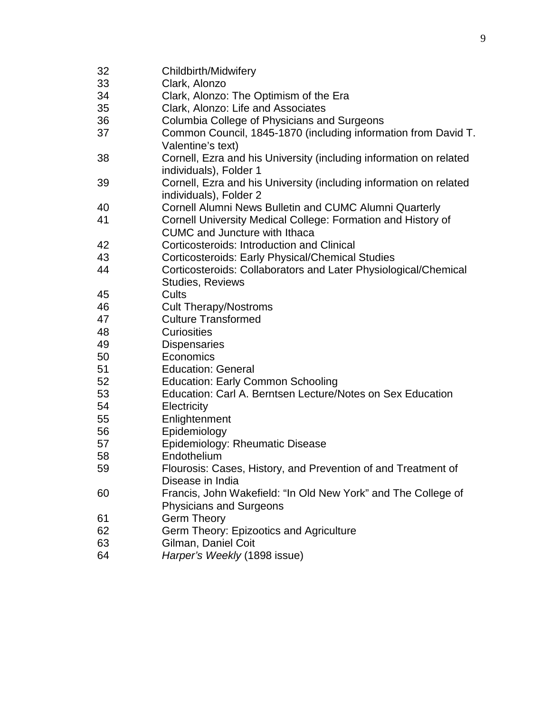| 32 | Childbirth/Midwifery                                                                                 |
|----|------------------------------------------------------------------------------------------------------|
| 33 | Clark, Alonzo                                                                                        |
| 34 | Clark, Alonzo: The Optimism of the Era                                                               |
| 35 | Clark, Alonzo: Life and Associates                                                                   |
| 36 | Columbia College of Physicians and Surgeons                                                          |
| 37 | Common Council, 1845-1870 (including information from David T.<br>Valentine's text)                  |
| 38 | Cornell, Ezra and his University (including information on related<br>individuals), Folder 1         |
| 39 | Cornell, Ezra and his University (including information on related<br>individuals), Folder 2         |
| 40 | Cornell Alumni News Bulletin and CUMC Alumni Quarterly                                               |
| 41 | Cornell University Medical College: Formation and History of<br><b>CUMC</b> and Juncture with Ithaca |
| 42 | Corticosteroids: Introduction and Clinical                                                           |
| 43 | <b>Corticosteroids: Early Physical/Chemical Studies</b>                                              |
| 44 | Corticosteroids: Collaborators and Later Physiological/Chemical                                      |
|    | <b>Studies, Reviews</b>                                                                              |
| 45 | Cults                                                                                                |
| 46 | <b>Cult Therapy/Nostroms</b>                                                                         |
| 47 | <b>Culture Transformed</b>                                                                           |
| 48 | <b>Curiosities</b>                                                                                   |
| 49 | <b>Dispensaries</b>                                                                                  |
| 50 | Economics                                                                                            |
| 51 | <b>Education: General</b>                                                                            |
| 52 | <b>Education: Early Common Schooling</b>                                                             |
| 53 | Education: Carl A. Berntsen Lecture/Notes on Sex Education                                           |
| 54 | Electricity                                                                                          |
| 55 | Enlightenment                                                                                        |
| 56 | Epidemiology                                                                                         |
| 57 | Epidemiology: Rheumatic Disease                                                                      |
| 58 | Endothelium                                                                                          |
| 59 | Flourosis: Cases, History, and Prevention of and Treatment of<br>Disease in India                    |
| 60 | Francis, John Wakefield: "In Old New York" and The College of<br>Physicians and Surgeons             |
| 61 | <b>Germ Theory</b>                                                                                   |
| 62 | Germ Theory: Epizootics and Agriculture                                                              |
| 63 | Gilman, Daniel Coit                                                                                  |
| 64 | Harper's Weekly (1898 issue)                                                                         |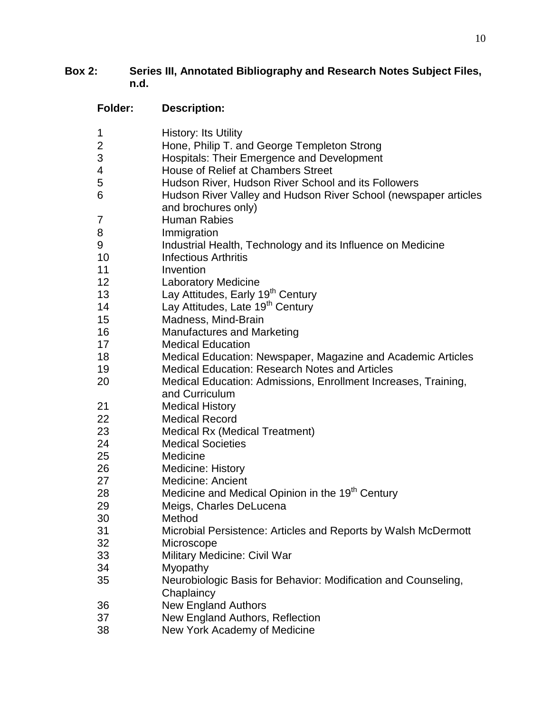# **Box 2: Series III, Annotated Bibliography and Research Notes Subject Files, n.d.**

| <b>Folder:</b> | <b>Description:</b>                                                                    |
|----------------|----------------------------------------------------------------------------------------|
| 1              | <b>History: Its Utility</b>                                                            |
| 2              | Hone, Philip T. and George Templeton Strong                                            |
| 3              | <b>Hospitals: Their Emergence and Development</b>                                      |
| 4              | House of Relief at Chambers Street                                                     |
| 5              | Hudson River, Hudson River School and its Followers                                    |
| 6              | Hudson River Valley and Hudson River School (newspaper articles<br>and brochures only) |
| 7              | <b>Human Rabies</b>                                                                    |
| 8              | Immigration                                                                            |
| 9              | Industrial Health, Technology and its Influence on Medicine                            |
| 10             | <b>Infectious Arthritis</b>                                                            |
| 11             | Invention                                                                              |
| 12             | <b>Laboratory Medicine</b>                                                             |
| 13             | Lay Attitudes, Early 19 <sup>th</sup> Century                                          |
| 14             | Lay Attitudes, Late 19 <sup>th</sup> Century                                           |
| 15             | Madness, Mind-Brain                                                                    |
| 16             | <b>Manufactures and Marketing</b>                                                      |
| 17             | <b>Medical Education</b>                                                               |
| 18             | Medical Education: Newspaper, Magazine and Academic Articles                           |
| 19             | <b>Medical Education: Research Notes and Articles</b>                                  |
| 20             | Medical Education: Admissions, Enrollment Increases, Training,<br>and Curriculum       |
| 21             | <b>Medical History</b>                                                                 |
| 22             | <b>Medical Record</b>                                                                  |
| 23             | <b>Medical Rx (Medical Treatment)</b>                                                  |
| 24             | <b>Medical Societies</b>                                                               |
| 25             | Medicine                                                                               |
| 26             | <b>Medicine: History</b>                                                               |
| 27             | <b>Medicine: Ancient</b>                                                               |
| 28             | Medicine and Medical Opinion in the 19 <sup>th</sup> Century                           |
| 29             | Meigs, Charles DeLucena                                                                |
| 30             | Method                                                                                 |
| 31             | Microbial Persistence: Articles and Reports by Walsh McDermott                         |
| 32             | Microscope                                                                             |
| 33             | Military Medicine: Civil War                                                           |
| 34             | Myopathy                                                                               |
| 35             | Neurobiologic Basis for Behavior: Modification and Counseling,<br>Chaplaincy           |
| 36             | <b>New England Authors</b>                                                             |
| 37             | New England Authors, Reflection                                                        |
| 38             | New York Academy of Medicine                                                           |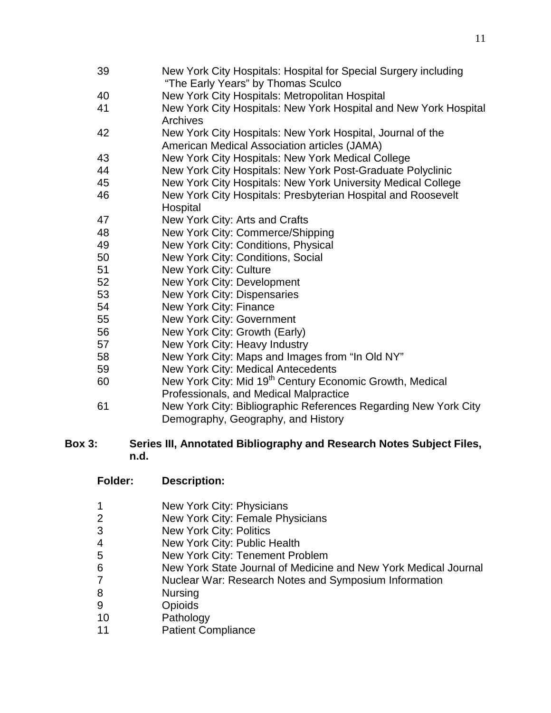- New York City Hospitals: Hospital for Special Surgery including "The Early Years" by Thomas Sculco New York City Hospitals: Metropolitan Hospital New York City Hospitals: New York Hospital and New York Hospital Archives New York City Hospitals: New York Hospital, Journal of the American Medical Association articles (JAMA) New York City Hospitals: New York Medical College New York City Hospitals: New York Post-Graduate Polyclinic New York City Hospitals: New York University Medical College New York City Hospitals: Presbyterian Hospital and Roosevelt **Hospital**  New York City: Arts and Crafts New York City: Commerce/Shipping New York City: Conditions, Physical New York City: Conditions, Social New York City: Culture New York City: Development New York City: Dispensaries New York City: Finance New York City: Government New York City: Growth (Early) New York City: Heavy Industry New York City: Maps and Images from "In Old NY" New York City: Medical Antecedents 60 New York City: Mid 19<sup>th</sup> Century Economic Growth, Medical Professionals, and Medical Malpractice
- New York City: Bibliographic References Regarding New York City Demography, Geography, and History

#### **Box 3: Series III, Annotated Bibliography and Research Notes Subject Files, n.d.**

| <b>Folder:</b> | <b>Description:</b> |
|----------------|---------------------|
|----------------|---------------------|

- New York City: Physicians
- New York City: Female Physicians
- New York City: Politics
- New York City: Public Health
- New York City: Tenement Problem
- New York State Journal of Medicine and New York Medical Journal
- Nuclear War: Research Notes and Symposium Information
- Nursing
- Opioids
- Pathology
- Patient Compliance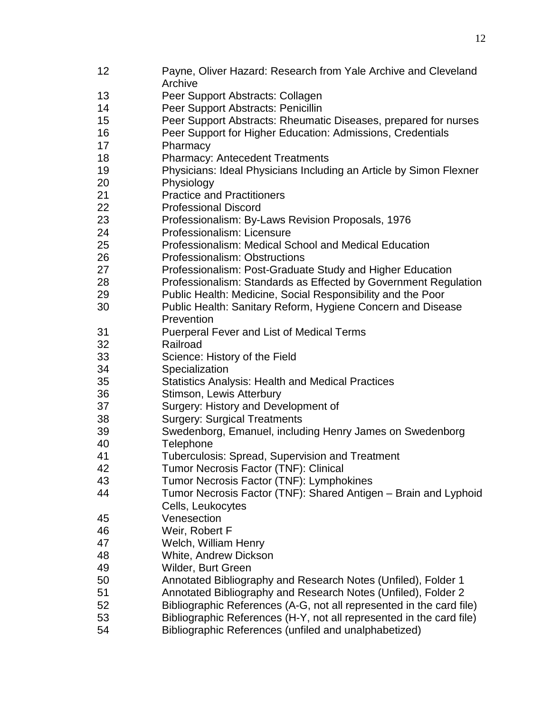- Payne, Oliver Hazard: Research from Yale Archive and Cleveland Archive
- Peer Support Abstracts: Collagen
- Peer Support Abstracts: Penicillin
- Peer Support Abstracts: Rheumatic Diseases, prepared for nurses
- Peer Support for Higher Education: Admissions, Credentials
- Pharmacy
- Pharmacy: Antecedent Treatments
- Physicians: Ideal Physicians Including an Article by Simon Flexner
- Physiology
- Practice and Practitioners
- Professional Discord
- Professionalism: By-Laws Revision Proposals, 1976
- Professionalism: Licensure
- Professionalism: Medical School and Medical Education
- Professionalism: Obstructions
- Professionalism: Post-Graduate Study and Higher Education
- Professionalism: Standards as Effected by Government Regulation
- Public Health: Medicine, Social Responsibility and the Poor
- Public Health: Sanitary Reform, Hygiene Concern and Disease Prevention
- Puerperal Fever and List of Medical Terms
- Railroad
- Science: History of the Field
- Specialization
- Statistics Analysis: Health and Medical Practices
- Stimson, Lewis Atterbury
- Surgery: History and Development of
- Surgery: Surgical Treatments
- Swedenborg, Emanuel, including Henry James on Swedenborg
- Telephone
- Tuberculosis: Spread, Supervision and Treatment
- Tumor Necrosis Factor (TNF): Clinical
- Tumor Necrosis Factor (TNF): Lymphokines
- Tumor Necrosis Factor (TNF): Shared Antigen Brain and Lyphoid Cells, Leukocytes
- Venesection
- Weir, Robert F
- Welch, William Henry
- White, Andrew Dickson
- Wilder, Burt Green
- Annotated Bibliography and Research Notes (Unfiled), Folder 1
- Annotated Bibliography and Research Notes (Unfiled), Folder 2
- Bibliographic References (A-G, not all represented in the card file)
- Bibliographic References (H-Y, not all represented in the card file)
- Bibliographic References (unfiled and unalphabetized)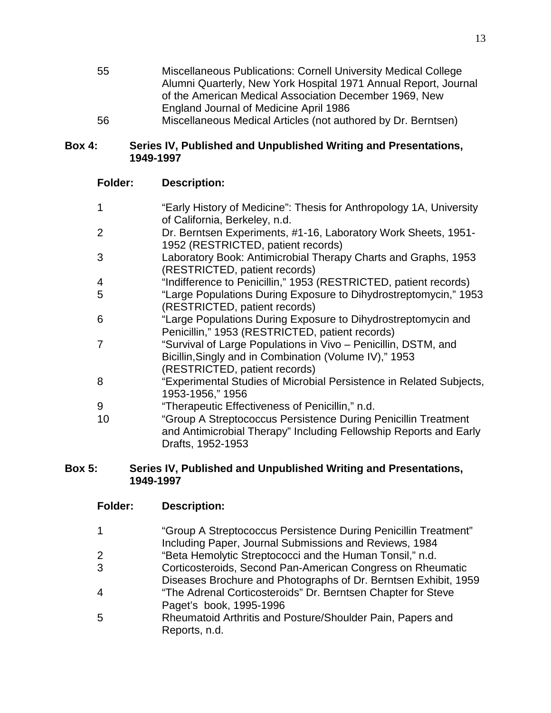| 55 | Miscellaneous Publications: Cornell University Medical College  |
|----|-----------------------------------------------------------------|
|    | Alumni Quarterly, New York Hospital 1971 Annual Report, Journal |
|    | of the American Medical Association December 1969, New          |
|    | England Journal of Medicine April 1986                          |
| 56 | Miscellaneous Medical Articles (not authored by Dr. Berntsen)   |

#### **Box 4: Series IV, Published and Unpublished Writing and Presentations, 1949-1997**

## **Folder: Description:**

| 1  | "Early History of Medicine": Thesis for Anthropology 1A, University<br>of California, Berkeley, n.d.                                                      |
|----|-----------------------------------------------------------------------------------------------------------------------------------------------------------|
| 2  | Dr. Berntsen Experiments, #1-16, Laboratory Work Sheets, 1951-<br>1952 (RESTRICTED, patient records)                                                      |
| 3  | Laboratory Book: Antimicrobial Therapy Charts and Graphs, 1953<br>(RESTRICTED, patient records)                                                           |
| 4  | "Indifference to Penicillin," 1953 (RESTRICTED, patient records)                                                                                          |
| 5  | "Large Populations During Exposure to Dihydrostreptomycin," 1953<br>(RESTRICTED, patient records)                                                         |
| 6  | "Large Populations During Exposure to Dihydrostreptomycin and<br>Penicillin," 1953 (RESTRICTED, patient records)                                          |
| 7  | "Survival of Large Populations in Vivo - Penicillin, DSTM, and<br>Bicillin, Singly and in Combination (Volume IV)," 1953<br>(RESTRICTED, patient records) |
| 8  | "Experimental Studies of Microbial Persistence in Related Subjects,<br>1953-1956," 1956                                                                   |
| 9  | "Therapeutic Effectiveness of Penicillin," n.d.                                                                                                           |
| 10 | "Group A Streptococcus Persistence During Penicillin Treatment<br>and Antimicrobial Therapy" Including Fellowship Reports and Early<br>Drafts, 1952-1953  |

## **Box 5: Series IV, Published and Unpublished Writing and Presentations, 1949-1997**

### **Folder: Description:**

| 1              | "Group A Streptococcus Persistence During Penicillin Treatment" |
|----------------|-----------------------------------------------------------------|
|                | Including Paper, Journal Submissions and Reviews, 1984          |
| $\overline{2}$ | "Beta Hemolytic Streptococci and the Human Tonsil," n.d.        |
| 3              | Corticosteroids, Second Pan-American Congress on Rheumatic      |
|                | Diseases Brochure and Photographs of Dr. Berntsen Exhibit, 1959 |
| 4              | "The Adrenal Corticosteroids" Dr. Berntsen Chapter for Steve    |
|                | Paget's book, 1995-1996                                         |
| 5              | Rheumatoid Arthritis and Posture/Shoulder Pain, Papers and      |
|                | Reports, n.d.                                                   |
|                |                                                                 |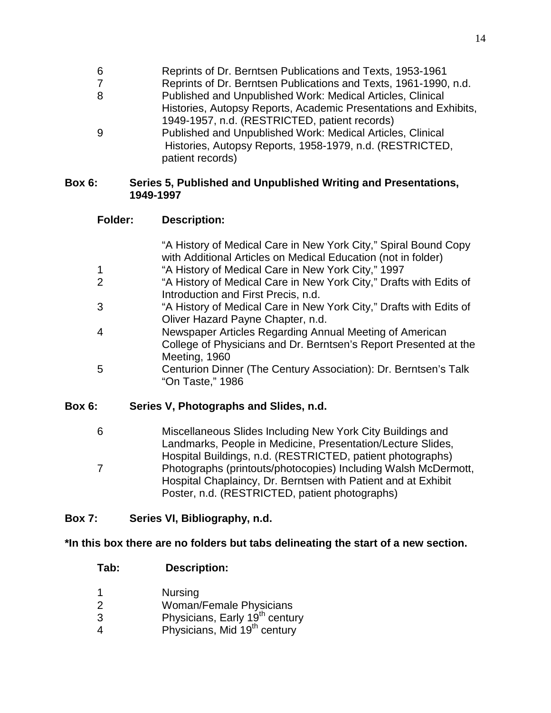- 6 Reprints of Dr. Berntsen Publications and Texts, 1953-1961
- 7 Reprints of Dr. Berntsen Publications and Texts, 1961-1990, n.d.
- 8 Published and Unpublished Work: Medical Articles, Clinical Histories, Autopsy Reports, Academic Presentations and Exhibits, 1949-1957, n.d. (RESTRICTED, patient records)
- 9 Published and Unpublished Work: Medical Articles, Clinical Histories, Autopsy Reports, 1958-1979, n.d. (RESTRICTED, patient records)

#### **Box 6: Series 5, Published and Unpublished Writing and Presentations, 1949-1997**

### **Folder: Description:**

|               | "A History of Medical Care in New York City," Spiral Bound Copy<br>with Additional Articles on Medical Education (not in folder)             |
|---------------|----------------------------------------------------------------------------------------------------------------------------------------------|
| 1             | "A History of Medical Care in New York City," 1997                                                                                           |
| 2             | "A History of Medical Care in New York City," Drafts with Edits of<br>Introduction and First Precis, n.d.                                    |
| 3             | "A History of Medical Care in New York City," Drafts with Edits of<br>Oliver Hazard Payne Chapter, n.d.                                      |
| 4             | Newspaper Articles Regarding Annual Meeting of American<br>College of Physicians and Dr. Berntsen's Report Presented at the<br>Meeting, 1960 |
| 5             | Centurion Dinner (The Century Association): Dr. Berntsen's Talk<br>"On Taste," 1986                                                          |
| <b>Box 6:</b> | Series V, Photographs and Slides, n.d.                                                                                                       |
| ຂ             | Miscallangous Slides Including New York City Ruildings and                                                                                   |

6 Miscellaneous Slides Including New York City Buildings and Landmarks, People in Medicine, Presentation/Lecture Slides, Hospital Buildings, n.d. (RESTRICTED, patient photographs) 7 Photographs (printouts/photocopies) Including Walsh McDermott, Hospital Chaplaincy, Dr. Berntsen with Patient and at Exhibit Poster, n.d. (RESTRICTED, patient photographs)

## **Box 7: Series VI, Bibliography, n.d.**

## **\*In this box there are no folders but tabs delineating the start of a new section.**

## **Tab: Description:**

- 1 Nursing
- 2 Woman/Female Physicians
- 3 Physicians, Early 19<sup>th</sup> century
- 4 Physicians, Mid 19<sup>th</sup> century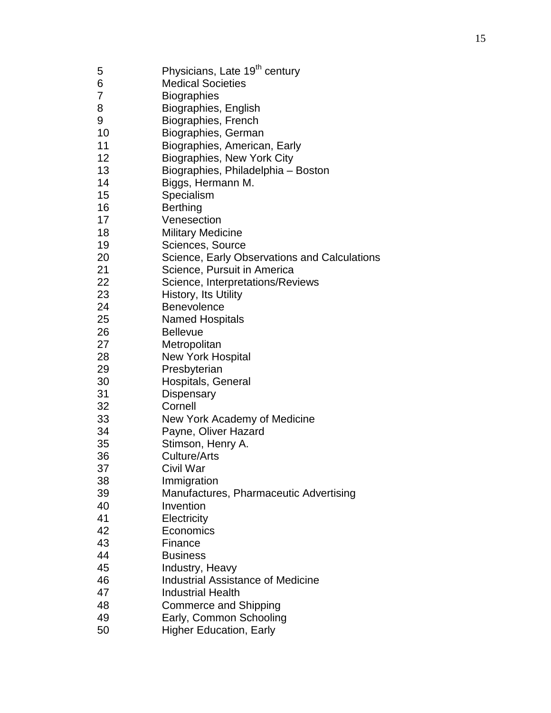5 Physicians, Late 19<sup>th</sup> century Medical Societies Biographies Biographies, English Biographies, French Biographies, German Biographies, American, Early Biographies, New York City Biographies, Philadelphia – Boston 14 Biggs, Hermann M.<br>15 Specialism **Specialism**  Berthing Venesection Military Medicine Sciences, Source Science, Early Observations and Calculations 21 Science, Pursuit in America<br>22 Science, Interpretations/Rev 22 Science, Interpretations/Reviews<br>23 History, Its Utility History, Its Utility Benevolence Named Hospitals Bellevue Metropolitan New York Hospital Presbyterian Hospitals, General Dispensary Cornell New York Academy of Medicine Payne, Oliver Hazard Stimson, Henry A. Culture/Arts Civil War Immigration Manufactures, Pharmaceutic Advertising Invention Electricity Economics Finance Business Industry, Heavy Industrial Assistance of Medicine Industrial Health Commerce and Shipping Early, Common Schooling Higher Education, Early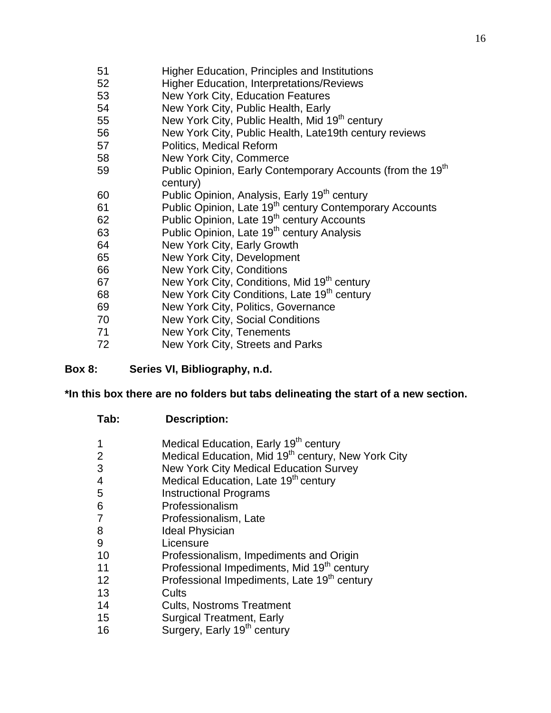- 51 Higher Education, Principles and Institutions
- 52 Higher Education, Interpretations/Reviews
- 53 New York City, Education Features
- 54 New York City, Public Health, Early
- 55 New York City, Public Health, Mid 19<sup>th</sup> century
- 56 New York City, Public Health, Late19th century reviews
- 57 Politics, Medical Reform
- 58 New York City, Commerce
- 59 Public Opinion, Early Contemporary Accounts (from the 19<sup>th</sup> century)
- 60 Public Opinion, Analysis, Early 19<sup>th</sup> century
- 61 Public Opinion, Late 19<sup>th</sup> century Contemporary Accounts
- 62 Public Opinion, Late 19<sup>th</sup> century Accounts
- 63 Public Opinion, Late 19<sup>th</sup> century Analysis
- 64 New York City, Early Growth
- 65 New York City, Development
- 66 New York City, Conditions
- 67 New York City, Conditions, Mid 19<sup>th</sup> century
- 68 New York City Conditions, Late 19<sup>th</sup> century
- 69 New York City, Politics, Governance
- 70 New York City, Social Conditions
- 71 New York City, Tenements
- 72 New York City, Streets and Parks

### **Box 8: Series VI, Bibliography, n.d.**

### **\*In this box there are no folders but tabs delineating the start of a new section.**

- 1 Medical Education, Early 19<sup>th</sup> century
- 2 Medical Education, Mid 19<sup>th</sup> century, New York City
- 3 New York City Medical Education Survey
- 4 Medical Education, Late 19<sup>th</sup> century
- 5 Instructional Programs
- 6 Professionalism
- 7 Professionalism, Late
- 8 **Ideal Physician**
- 9 Licensure
- 10 Professionalism, Impediments and Origin
- 11 Professional Impediments, Mid 19<sup>th</sup> century
- 12 Professional Impediments, Late 19<sup>th</sup> century
- 13 Cults
- 14 Cults, Nostroms Treatment
- 15 Surgical Treatment, Early
- 16 Surgery, Early 19<sup>th</sup> century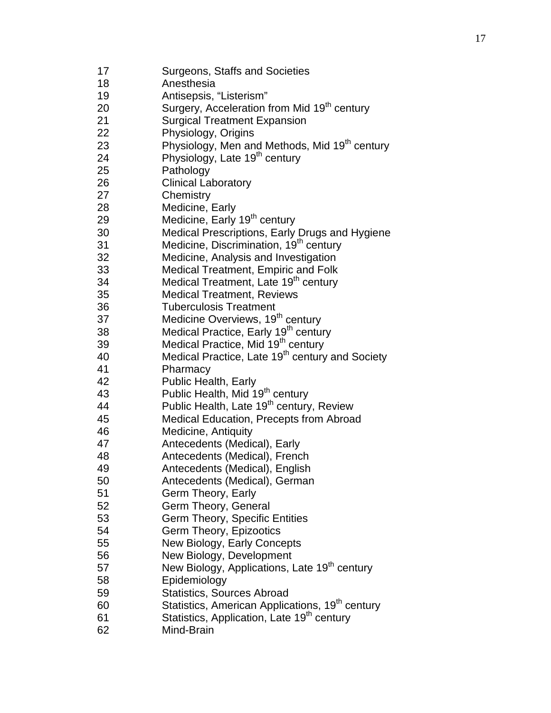Surgeons, Staffs and Societies Anesthesia Antisepsis, "Listerism" 20 Surgery, Acceleration from Mid 19<sup>th</sup> century Surgical Treatment Expansion Physiology, Origins 23 Physiology, Men and Methods, Mid 19<sup>th</sup> century 24 Physiology, Late 19<sup>th</sup> century Pathology Clinical Laboratory Chemistry Medicine, Early 29 Medicine, Early 19<sup>th</sup> century Medical Prescriptions, Early Drugs and Hygiene 31 Medicine, Discrimination, 19<sup>th</sup> century Medicine, Analysis and Investigation Medical Treatment, Empiric and Folk 34 Medical Treatment, Late 19<sup>th</sup> century Medical Treatment, Reviews Tuberculosis Treatment 37 Medicine Overviews, 19<sup>th</sup> century 38 Medical Practice, Early 19<sup>th</sup> century 39 Medical Practice, Mid 19<sup>th</sup> century 40 Medical Practice, Late 19<sup>th</sup> century and Society Pharmacy Public Health, Early 43 Public Health, Mid 19<sup>th</sup> century 44 Public Health, Late 19<sup>th</sup> century, Review Medical Education, Precepts from Abroad Medicine, Antiquity Antecedents (Medical), Early Antecedents (Medical), French Antecedents (Medical), English Antecedents (Medical), German Germ Theory, Early Germ Theory, General Germ Theory, Specific Entities Germ Theory, Epizootics New Biology, Early Concepts New Biology, Development 57 New Biology, Applications, Late 19<sup>th</sup> century Epidemiology Statistics, Sources Abroad **Statistics, American Applications, 19<sup>th</sup> century Statistics, Application, Late 19<sup>th</sup> century** Mind -Brain